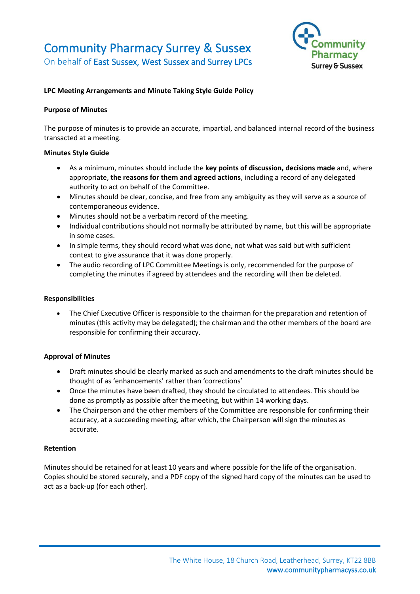# Community Pharmacy Surrey & Sussex On behalf of East Sussex, West Sussex and Surrey LPCs



# **LPC Meeting Arrangements and Minute Taking Style Guide Policy**

#### **Purpose of Minutes**

The purpose of minutes is to provide an accurate, impartial, and balanced internal record of the business transacted at a meeting.

#### **Minutes Style Guide**

- As a minimum, minutes should include the **key points of discussion, decisions made** and, where appropriate, **the reasons for them and agreed actions**, including a record of any delegated authority to act on behalf of the Committee.
- Minutes should be clear, concise, and free from any ambiguity as they will serve as a source of contemporaneous evidence.
- Minutes should not be a verbatim record of the meeting.
- Individual contributions should not normally be attributed by name, but this will be appropriate in some cases.
- In simple terms, they should record what was done, not what was said but with sufficient context to give assurance that it was done properly.
- The audio recording of LPC Committee Meetings is only, recommended for the purpose of completing the minutes if agreed by attendees and the recording will then be deleted.

#### **Responsibilities**

• The Chief Executive Officer is responsible to the chairman for the preparation and retention of minutes (this activity may be delegated); the chairman and the other members of the board are responsible for confirming their accuracy.

#### **Approval of Minutes**

- Draft minutes should be clearly marked as such and amendments to the draft minutes should be thought of as 'enhancements' rather than 'corrections'
- Once the minutes have been drafted, they should be circulated to attendees. This should be done as promptly as possible after the meeting, but within 14 working days.
- The Chairperson and the other members of the Committee are responsible for confirming their accuracy, at a succeeding meeting, after which, the Chairperson will sign the minutes as accurate.

#### **Retention**

Minutes should be retained for at least 10 years and where possible for the life of the organisation. Copies should be stored securely, and a PDF copy of the signed hard copy of the minutes can be used to act as a back-up (for each other).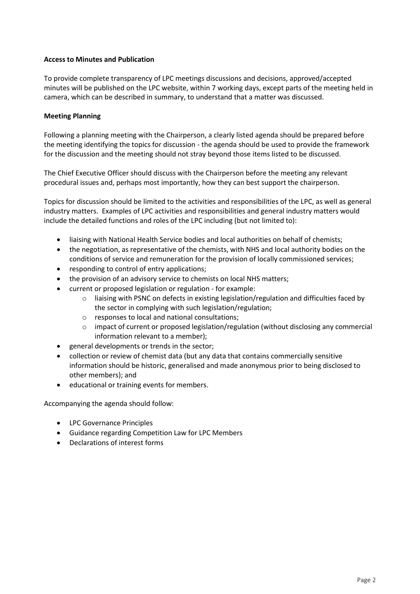## **Access to Minutes and Publication**

To provide complete transparency of LPC meetings discussions and decisions, approved/accepted minutes will be published on the LPC website, within 7 working days, except parts of the meeting held in camera, which can be described in summary, to understand that a matter was discussed.

## **Meeting Planning**

Following a planning meeting with the Chairperson, a clearly listed agenda should be prepared before the meeting identifying the topics for discussion - the agenda should be used to provide the framework for the discussion and the meeting should not stray beyond those items listed to be discussed.

The Chief Executive Officer should discuss with the Chairperson before the meeting any relevant procedural issues and, perhaps most importantly, how they can best support the chairperson.

Topics for discussion should be limited to the activities and responsibilities of the LPC, as well as general industry matters. Examples of LPC activities and responsibilities and general industry matters would include the detailed functions and roles of the LPC including (but not limited to):

- liaising with National Health Service bodies and local authorities on behalf of chemists;
- the negotiation, as representative of the chemists, with NHS and local authority bodies on the conditions of service and remuneration for the provision of locally commissioned services;
- responding to control of entry applications:
- the provision of an advisory service to chemists on local NHS matters;
- current or proposed legislation or regulation for example:
	- $\circ$  liaising with PSNC on defects in existing legislation/regulation and difficulties faced by the sector in complying with such legislation/regulation;
	- o responses to local and national consultations;
	- $\circ$  impact of current or proposed legislation/regulation (without disclosing any commercial information relevant to a member);
- general developments or trends in the sector;
- collection or review of chemist data (but any data that contains commercially sensitive information should be historic, generalised and made anonymous prior to being disclosed to other members); and
- educational or training events for members.

Accompanying the agenda should follow:

- LPC Governance Principles
- Guidance regarding Competition Law for LPC Members
- Declarations of interest forms